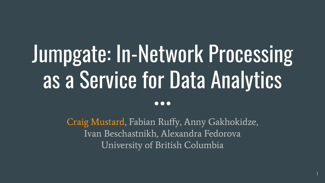# Jumpgate: In-Network Processing as a Service for Data Analytics

Craig Mustard, Fabian Ruffy, Anny Gakhokidze, Ivan Beschastnikh, Alexandra Fedorova University of British Columbia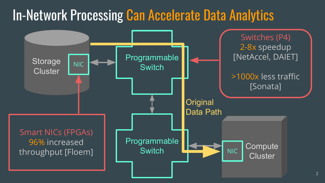#### In-Network Processing Can Accelerate Data Analytics

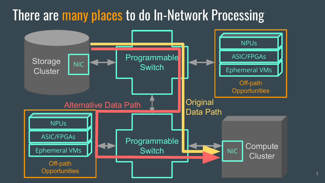#### There are many places to do In-Network Processing

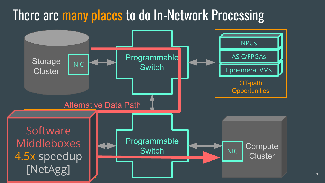#### There are many places to do In-Network Processing

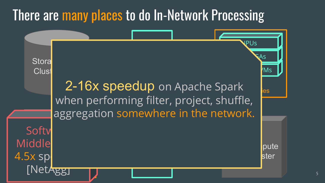#### There are many places to do In-Network Processing

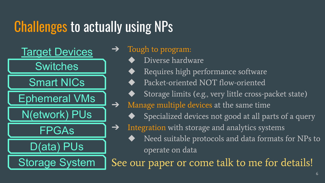## Challenges to actually using NPs

Ephemeral VMs **Switches** N(etwork) PUs Smart NICs FPGAs D(ata) PUs Storage System **Target Devices** 

Tough to program:

- Diverse hardware
- Requires high performance software
- Packet-oriented NOT flow-oriented
- Storage limits (e.g., very little cross-packet state)
- **→** Manage multiple devices at the same time
	- Specialized devices not good at all parts of a query
- ➔ Integration with storage and analytics systems
	- Need suitable protocols and data formats for NPs to operate on data

See our paper or come talk to me for details!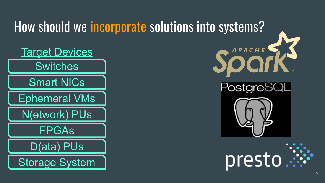#### How should we incorporate solutions into systems?







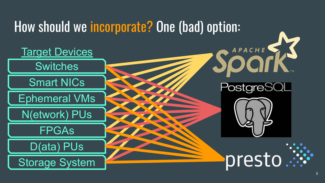#### How should we incorporate? One (bad) option:

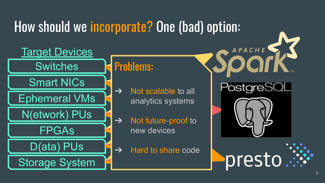#### How should we incorporate? One (bad) option:



#### Problems:

- $\rightarrow$  Not scalable to all analytics systems
- **→** Not future-proof to new devices
- $\rightarrow$  Hard to share code



presto

APACHE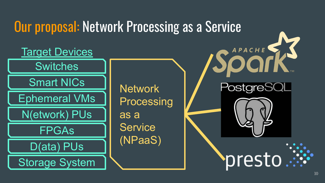## Our proposal: Network Processing as a Service

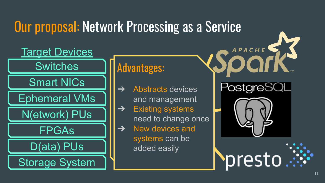# Our proposal: Network Processing as a Service



#### Advantages:

- $\rightarrow$  Abstracts devices and management
- as Existing Systems<br>
need to change once Existing systems
- $\rightarrow$  New devices and systems can be added easily



presto

APACHE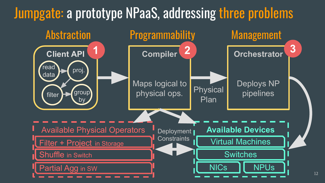#### Jumpgate: a prototype NPaaS, addressing three problems

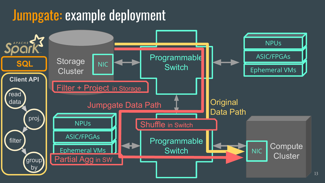#### Jumpgate: example deployment

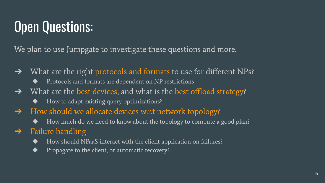## Open Questions:

We plan to use Jumpgate to investigate these questions and more.

- $\rightarrow$  What are the right protocols and formats to use for different NPs?
	- Protocols and formats are dependent on NP restrictions
- → What are the best devices, and what is the best offload strategy?
	- ◆ How to adapt existing query optimizations?
- → How should we allocate devices w.r.t network topology?
	- ◆ How much do we need to know about the topology to compute a good plan?

#### $\rightarrow$  Failure handling

- How should NPaaS interact with the client application on failures?
- ◆ Propagate to the client, or automatic recovery?